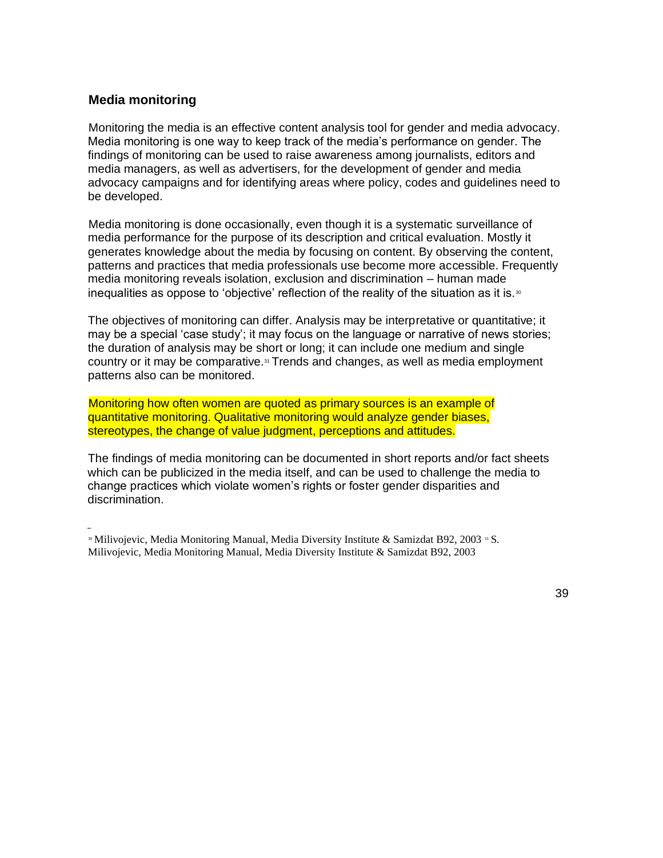## **Media monitoring**

Monitoring the media is an effective content analysis tool for gender and media advocacy. Media monitoring is one way to keep track of the media's performance on gender. The findings of monitoring can be used to raise awareness among journalists, editors and media managers, as well as advertisers, for the development of gender and media advocacy campaigns and for identifying areas where policy, codes and guidelines need to be developed.

Media monitoring is done occasionally, even though it is a systematic surveillance of media performance for the purpose of its description and critical evaluation. Mostly it generates knowledge about the media by focusing on content. By observing the content, patterns and practices that media professionals use become more accessible. Frequently media monitoring reveals isolation, exclusion and discrimination – human made inequalities as oppose to 'objective' reflection of the reality of the situation as it is. $\frac{1}{2}$ 

The objectives of monitoring can differ. Analysis may be interpretative or quantitative; it may be a special 'case study'; it may focus on the language or narrative of news stories; the duration of analysis may be short or long; it can include one medium and single country or it may be comparative. $\alpha$  Trends and changes, as well as media employment patterns also can be monitored.

Monitoring how often women are quoted as primary sources is an example of quantitative monitoring. Qualitative monitoring would analyze gender biases, stereotypes, the change of value judgment, perceptions and attitudes.

The findings of media monitoring can be documented in short reports and/or fact sheets which can be publicized in the media itself, and can be used to challenge the media to change practices which violate women's rights or foster gender disparities and discrimination.

<sup>&</sup>lt;sup>30</sup> Milivojevic, Media Monitoring Manual, Media Diversity Institute & Samizdat B92, 2003<sup>31</sup> S. Milivojevic, Media Monitoring Manual, Media Diversity Institute & Samizdat B92, 2003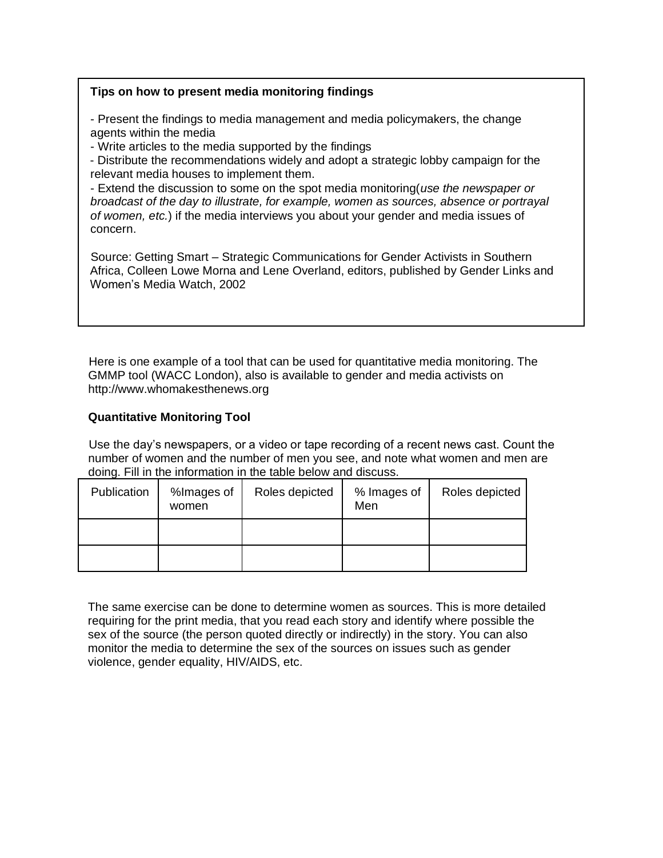## **Tips on how to present media monitoring findings**

- Present the findings to media management and media policymakers, the change agents within the media

- Write articles to the media supported by the findings

- Distribute the recommendations widely and adopt a strategic lobby campaign for the relevant media houses to implement them.

- Extend the discussion to some on the spot media monitoring(*use the newspaper or broadcast of the day to illustrate, for example, women as sources, absence or portrayal of women, etc.*) if the media interviews you about your gender and media issues of concern.

Source: Getting Smart – Strategic Communications for Gender Activists in Southern Africa, Colleen Lowe Morna and Lene Overland, editors, published by Gender Links and Women's Media Watch, 2002

Here is one example of a tool that can be used for quantitative media monitoring. The GMMP tool (WACC London), also is available to gender and media activists on http://www.whomakesthenews.org

## **Quantitative Monitoring Tool**

Use the day's newspapers, or a video or tape recording of a recent news cast. Count the number of women and the number of men you see, and note what women and men are doing. Fill in the information in the table below and discuss.

| Publication | %Images of<br>women | Roles depicted | % Images of<br>Men | Roles depicted |
|-------------|---------------------|----------------|--------------------|----------------|
|             |                     |                |                    |                |
|             |                     |                |                    |                |

The same exercise can be done to determine women as sources. This is more detailed requiring for the print media, that you read each story and identify where possible the sex of the source (the person quoted directly or indirectly) in the story. You can also monitor the media to determine the sex of the sources on issues such as gender violence, gender equality, HIV/AIDS, etc.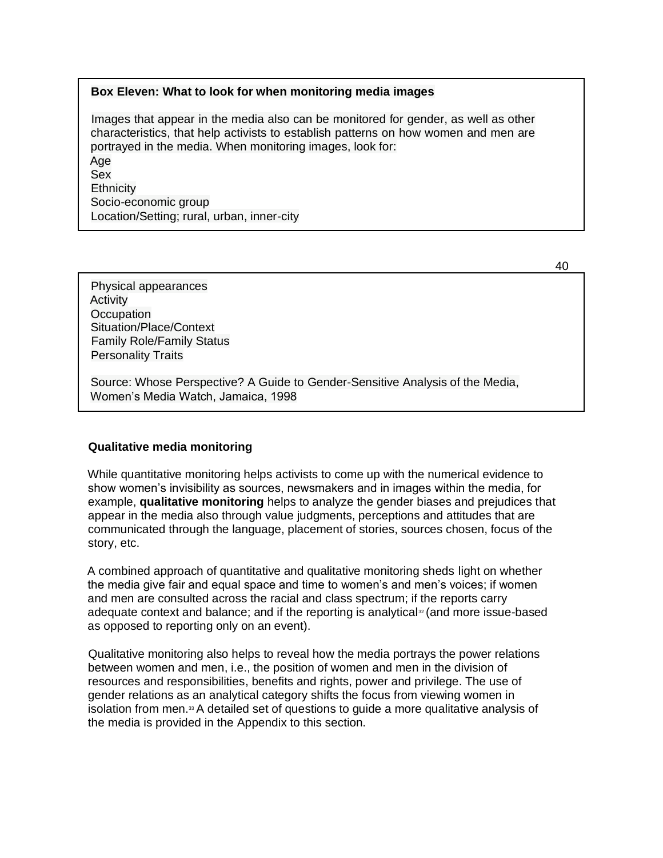### **Box Eleven: What to look for when monitoring media images**

Images that appear in the media also can be monitored for gender, as well as other characteristics, that help activists to establish patterns on how women and men are portrayed in the media. When monitoring images, look for:

Age Sex **Ethnicity** Socio-economic group Location/Setting; rural, urban, inner-city

Physical appearances Activity **Occupation** Situation/Place/Context Family Role/Family Status Personality Traits

Source: Whose Perspective? A Guide to Gender-Sensitive Analysis of the Media, Women's Media Watch, Jamaica, 1998

### **Qualitative media monitoring**

While quantitative monitoring helps activists to come up with the numerical evidence to show women's invisibility as sources, newsmakers and in images within the media, for example, **qualitative monitoring** helps to analyze the gender biases and prejudices that appear in the media also through value judgments, perceptions and attitudes that are communicated through the language, placement of stories, sources chosen, focus of the story, etc.

A combined approach of quantitative and qualitative monitoring sheds light on whether the media give fair and equal space and time to women's and men's voices; if women and men are consulted across the racial and class spectrum; if the reports carry adequate context and balance; and if the reporting is analytical<sup> $\infty$ </sup> (and more issue-based as opposed to reporting only on an event).

Qualitative monitoring also helps to reveal how the media portrays the power relations between women and men, i.e., the position of women and men in the division of resources and responsibilities, benefits and rights, power and privilege. The use of gender relations as an analytical category shifts the focus from viewing women in isolation from men.<sup>33</sup> A detailed set of questions to guide a more qualitative analysis of the media is provided in the Appendix to this section.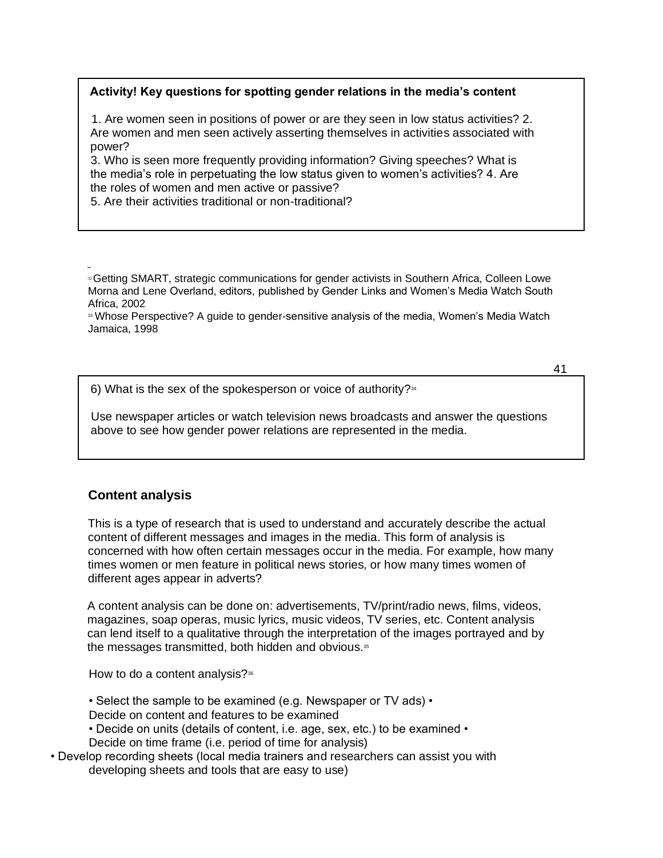## **Activity! Key questions for spotting gender relations in the media's content**

1. Are women seen in positions of power or are they seen in low status activities? 2. Are women and men seen actively asserting themselves in activities associated with power?

3. Who is seen more frequently providing information? Giving speeches? What is the media's role in perpetuating the low status given to women's activities? 4. Are the roles of women and men active or passive?

5. Are their activities traditional or non-traditional?

**<sup>33</sup> Whose Perspective? A guide to gender-sensitive analysis of the media, Women's Media Watch** Jamaica, 1998

41

6) What is the sex of the spokesperson or voice of authority? $34$ 

Use newspaper articles or watch television news broadcasts and answer the questions above to see how gender power relations are represented in the media.

# **Content analysis**

This is a type of research that is used to understand and accurately describe the actual content of different messages and images in the media. This form of analysis is concerned with how often certain messages occur in the media. For example, how many times women or men feature in political news stories, or how many times women of different ages appear in adverts?

A content analysis can be done on: advertisements, TV/print/radio news, films, videos, magazines, soap operas, music lyrics, music videos, TV series, etc. Content analysis can lend itself to a qualitative through the interpretation of the images portrayed and by the messages transmitted, both hidden and obvious.<sup>35</sup>

How to do a content analysis? $368$ 

- Select the sample to be examined (e.g. Newspaper or TV ads) •
- Decide on content and features to be examined
- Decide on units (details of content, i.e. age, sex, etc.) to be examined •

Decide on time frame (i.e. period of time for analysis)

• Develop recording sheets (local media trainers and researchers can assist you with developing sheets and tools that are easy to use)

<sup>&</sup>lt;sup>32</sup> Getting SMART, strategic communications for gender activists in Southern Africa, Colleen Lowe Morna and Lene Overland, editors, published by Gender Links and Women's Media Watch South Africa, 2002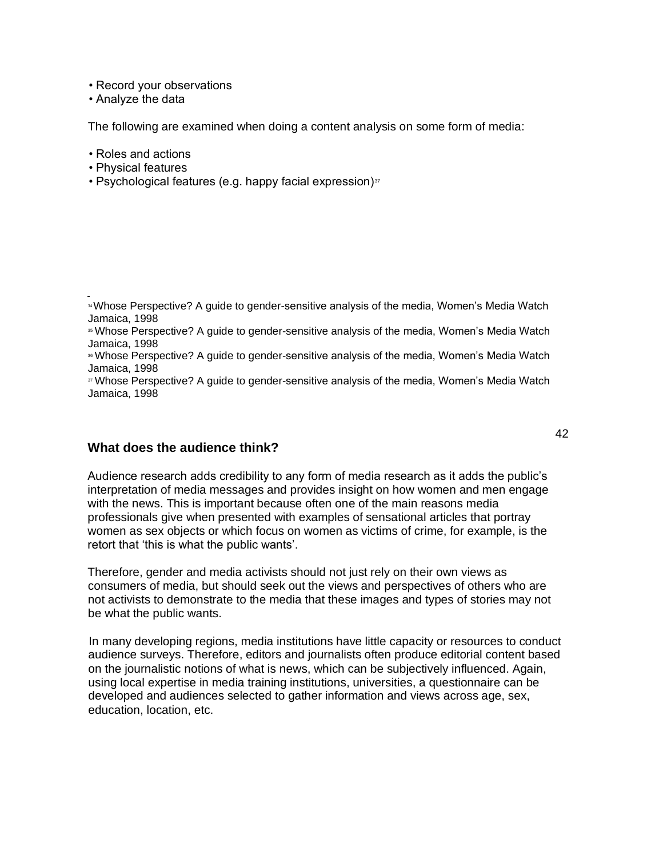• Record your observations

• Analyze the data

The following are examined when doing a content analysis on some form of media:

- Roles and actions
- Physical features
- Psychological features (e.g. happy facial expression) $37$

<sup>35</sup> Whose Perspective? A guide to gender-sensitive analysis of the media, Women's Media Watch Jamaica, 1998

### **What does the audience think?**

Audience research adds credibility to any form of media research as it adds the public's interpretation of media messages and provides insight on how women and men engage with the news. This is important because often one of the main reasons media professionals give when presented with examples of sensational articles that portray women as sex objects or which focus on women as victims of crime, for example, is the retort that 'this is what the public wants'.

Therefore, gender and media activists should not just rely on their own views as consumers of media, but should seek out the views and perspectives of others who are not activists to demonstrate to the media that these images and types of stories may not be what the public wants.

In many developing regions, media institutions have little capacity or resources to conduct audience surveys. Therefore, editors and journalists often produce editorial content based on the journalistic notions of what is news, which can be subjectively influenced. Again, using local expertise in media training institutions, universities, a questionnaire can be developed and audiences selected to gather information and views across age, sex, education, location, etc.

<sup>34</sup>Whose Perspective? A guide to gender-sensitive analysis of the media, Women's Media Watch Jamaica, 1998

**<sup>&</sup>lt;sup>36</sup> Whose Perspective? A guide to gender-sensitive analysis of the media, Women's Media Watch** Jamaica, 1998

<sup>37</sup> Whose Perspective? A guide to gender-sensitive analysis of the media, Women's Media Watch Jamaica, 1998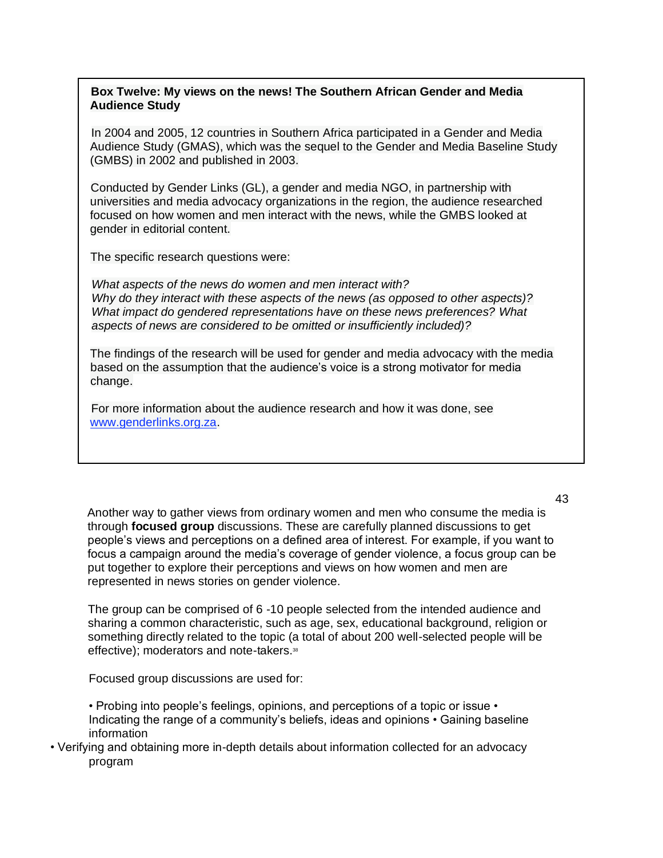## **Box Twelve: My views on the news! The Southern African Gender and Media Audience Study**

In 2004 and 2005, 12 countries in Southern Africa participated in a Gender and Media Audience Study (GMAS), which was the sequel to the Gender and Media Baseline Study (GMBS) in 2002 and published in 2003.

Conducted by Gender Links (GL), a gender and media NGO, in partnership with universities and media advocacy organizations in the region, the audience researched focused on how women and men interact with the news, while the GMBS looked at gender in editorial content.

The specific research questions were:

*What aspects of the news do women and men interact with? Why do they interact with these aspects of the news (as opposed to other aspects)? What impact do gendered representations have on these news preferences? What aspects of news are considered to be omitted or insufficiently included)?*

The findings of the research will be used for gender and media advocacy with the media based on the assumption that the audience's voice is a strong motivator for media change.

For more information about the audience research and how it was done, see www.genderlinks.org.za.

Another way to gather views from ordinary women and men who consume the media is through **focused group** discussions. These are carefully planned discussions to get people's views and perceptions on a defined area of interest. For example, if you want to focus a campaign around the media's coverage of gender violence, a focus group can be put together to explore their perceptions and views on how women and men are represented in news stories on gender violence.

The group can be comprised of 6 -10 people selected from the intended audience and sharing a common characteristic, such as age, sex, educational background, religion or something directly related to the topic (a total of about 200 well-selected people will be effective); moderators and note-takers.<sup>38</sup>

Focused group discussions are used for:

- Probing into people's feelings, opinions, and perceptions of a topic or issue Indicating the range of a community's beliefs, ideas and opinions • Gaining baseline information
- Verifying and obtaining more in-depth details about information collected for an advocacy program

#### 43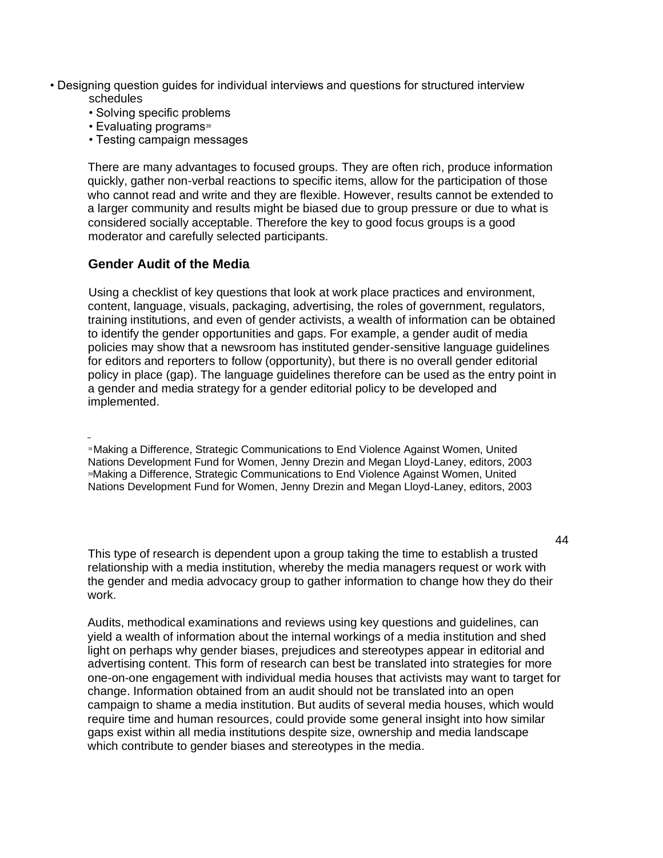- Designing question guides for individual interviews and questions for structured interview schedules
	- Solving specific problems
	- Evaluating programs<sup>39</sup>
	- Testing campaign messages

There are many advantages to focused groups. They are often rich, produce information quickly, gather non-verbal reactions to specific items, allow for the participation of those who cannot read and write and they are flexible. However, results cannot be extended to a larger community and results might be biased due to group pressure or due to what is considered socially acceptable. Therefore the key to good focus groups is a good moderator and carefully selected participants.

## **Gender Audit of the Media**

Using a checklist of key questions that look at work place practices and environment, content, language, visuals, packaging, advertising, the roles of government, regulators, training institutions, and even of gender activists, a wealth of information can be obtained to identify the gender opportunities and gaps. For example, a gender audit of media policies may show that a newsroom has instituted gender-sensitive language guidelines for editors and reporters to follow (opportunity), but there is no overall gender editorial policy in place (gap). The language guidelines therefore can be used as the entry point in a gender and media strategy for a gender editorial policy to be developed and implemented.

<sup>38</sup>Making a Difference, Strategic Communications to End Violence Against Women, United Nations Development Fund for Women, Jenny Drezin and Megan Lloyd-Laney, editors, 2003 <sup>39</sup>Making a Difference, Strategic Communications to End Violence Against Women, United Nations Development Fund for Women, Jenny Drezin and Megan Lloyd-Laney, editors, 2003

This type of research is dependent upon a group taking the time to establish a trusted relationship with a media institution, whereby the media managers request or work with the gender and media advocacy group to gather information to change how they do their work.

Audits, methodical examinations and reviews using key questions and guidelines, can yield a wealth of information about the internal workings of a media institution and shed light on perhaps why gender biases, prejudices and stereotypes appear in editorial and advertising content. This form of research can best be translated into strategies for more one-on-one engagement with individual media houses that activists may want to target for change. Information obtained from an audit should not be translated into an open campaign to shame a media institution. But audits of several media houses, which would require time and human resources, could provide some general insight into how similar gaps exist within all media institutions despite size, ownership and media landscape which contribute to gender biases and stereotypes in the media.